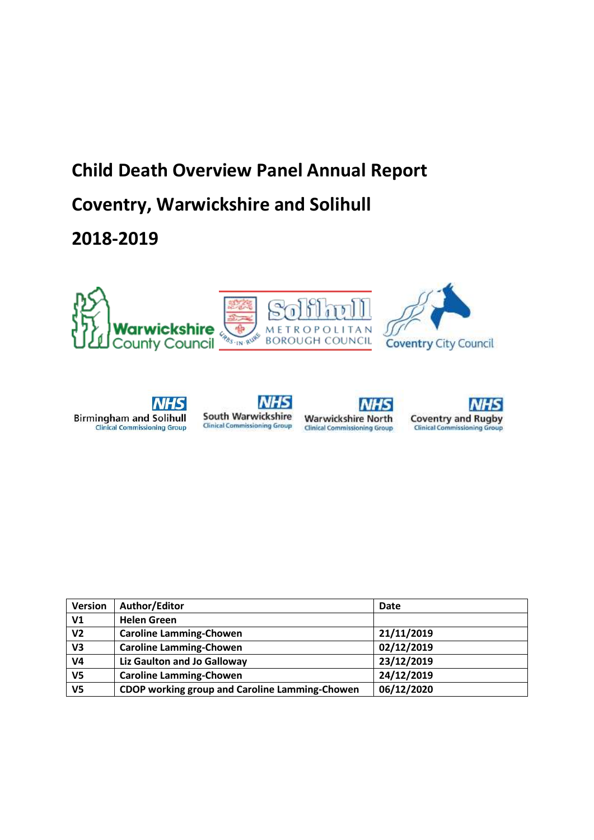# **Child Death Overview Panel Annual Report Coventry, Warwickshire and Solihull**

**2018-2019**











| <b>Version</b> | Author/Editor                                  | Date       |
|----------------|------------------------------------------------|------------|
| V <sub>1</sub> | <b>Helen Green</b>                             |            |
| V <sub>2</sub> | <b>Caroline Lamming-Chowen</b>                 | 21/11/2019 |
| V3             | <b>Caroline Lamming-Chowen</b>                 | 02/12/2019 |
| V4             | Liz Gaulton and Jo Galloway                    | 23/12/2019 |
| V <sub>5</sub> | <b>Caroline Lamming-Chowen</b>                 | 24/12/2019 |
| V <sub>5</sub> | CDOP working group and Caroline Lamming-Chowen | 06/12/2020 |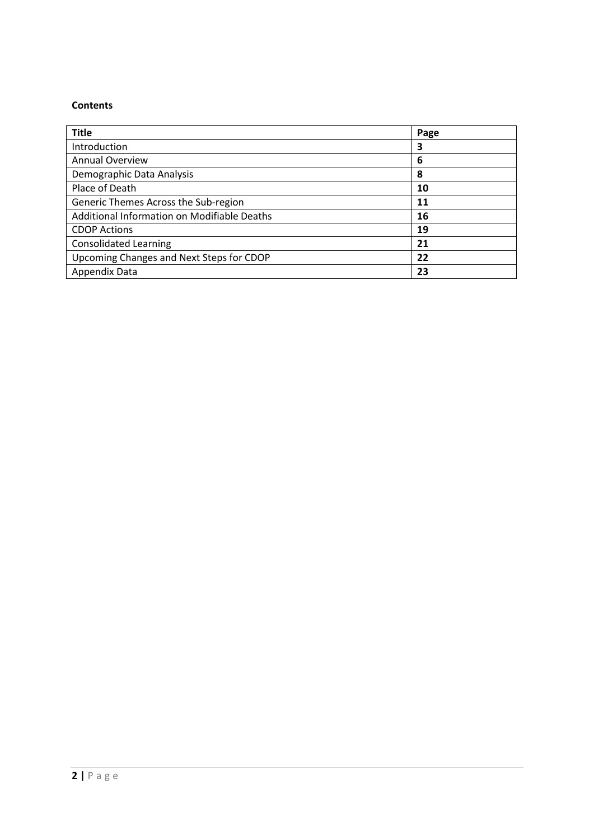# **Contents**

| <b>Title</b>                                | Page |
|---------------------------------------------|------|
| Introduction                                | 3    |
| <b>Annual Overview</b>                      | 6    |
| Demographic Data Analysis                   | 8    |
| Place of Death                              | 10   |
| Generic Themes Across the Sub-region        | 11   |
| Additional Information on Modifiable Deaths | 16   |
| <b>CDOP Actions</b>                         | 19   |
| <b>Consolidated Learning</b>                | 21   |
| Upcoming Changes and Next Steps for CDOP    | 22   |
| Appendix Data                               | 23   |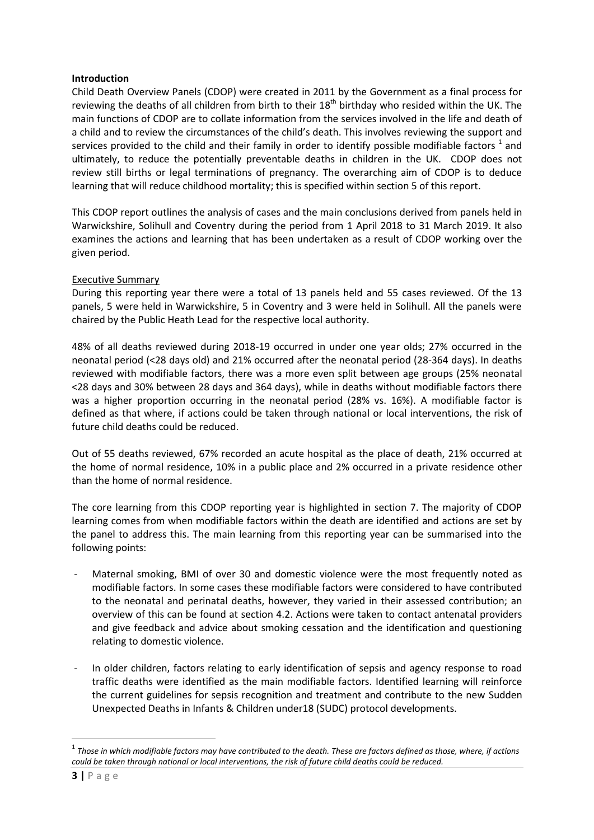#### **Introduction**

Child Death Overview Panels (CDOP) were created in 2011 by the Government as a final process for reviewing the deaths of all children from birth to their 18<sup>th</sup> birthday who resided within the UK. The main functions of CDOP are to collate information from the services involved in the life and death of a child and to review the circumstances of the child's death. This involves reviewing the support and services provided to the child and their family in order to identify possible modifiable factors  $^1$  and ultimately, to reduce the potentially preventable deaths in children in the UK. CDOP does not review still births or legal terminations of pregnancy. The overarching aim of CDOP is to deduce learning that will reduce childhood mortality; this is specified within section 5 of this report.

This CDOP report outlines the analysis of cases and the main conclusions derived from panels held in Warwickshire, Solihull and Coventry during the period from 1 April 2018 to 31 March 2019. It also examines the actions and learning that has been undertaken as a result of CDOP working over the given period.

## Executive Summary

During this reporting year there were a total of 13 panels held and 55 cases reviewed. Of the 13 panels, 5 were held in Warwickshire, 5 in Coventry and 3 were held in Solihull. All the panels were chaired by the Public Heath Lead for the respective local authority.

48% of all deaths reviewed during 2018-19 occurred in under one year olds; 27% occurred in the neonatal period (<28 days old) and 21% occurred after the neonatal period (28-364 days). In deaths reviewed with modifiable factors, there was a more even split between age groups (25% neonatal <28 days and 30% between 28 days and 364 days), while in deaths without modifiable factors there was a higher proportion occurring in the neonatal period (28% vs. 16%). A modifiable factor is defined as that where, if actions could be taken through national or local interventions, the risk of future child deaths could be reduced.

Out of 55 deaths reviewed, 67% recorded an acute hospital as the place of death, 21% occurred at the home of normal residence, 10% in a public place and 2% occurred in a private residence other than the home of normal residence.

The core learning from this CDOP reporting year is highlighted in section 7. The majority of CDOP learning comes from when modifiable factors within the death are identified and actions are set by the panel to address this. The main learning from this reporting year can be summarised into the following points:

- Maternal smoking, BMI of over 30 and domestic violence were the most frequently noted as modifiable factors. In some cases these modifiable factors were considered to have contributed to the neonatal and perinatal deaths, however, they varied in their assessed contribution; an overview of this can be found at section 4.2. Actions were taken to contact antenatal providers and give feedback and advice about smoking cessation and the identification and questioning relating to domestic violence.
- In older children, factors relating to early identification of sepsis and agency response to road traffic deaths were identified as the main modifiable factors. Identified learning will reinforce the current guidelines for sepsis recognition and treatment and contribute to the new Sudden Unexpected Deaths in Infants & Children under18 (SUDC) protocol developments.

1

 $^{\rm 1}$  Those in which modifiable factors may have contributed to the death. These are factors defined as those, where, if actions *could be taken through national or local interventions, the risk of future child deaths could be reduced.*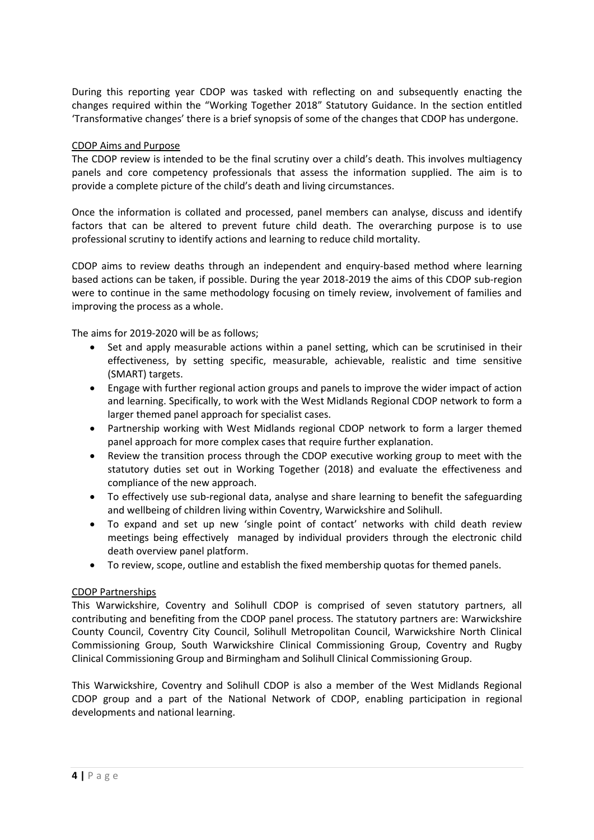During this reporting year CDOP was tasked with reflecting on and subsequently enacting the changes required within the "Working Together 2018" Statutory Guidance. In the section entitled 'Transformative changes' there is a brief synopsis of some of the changes that CDOP has undergone.

## CDOP Aims and Purpose

The CDOP review is intended to be the final scrutiny over a child's death. This involves multiagency panels and core competency professionals that assess the information supplied. The aim is to provide a complete picture of the child's death and living circumstances.

Once the information is collated and processed, panel members can analyse, discuss and identify factors that can be altered to prevent future child death. The overarching purpose is to use professional scrutiny to identify actions and learning to reduce child mortality.

CDOP aims to review deaths through an independent and enquiry-based method where learning based actions can be taken, if possible. During the year 2018-2019 the aims of this CDOP sub-region were to continue in the same methodology focusing on timely review, involvement of families and improving the process as a whole.

The aims for 2019-2020 will be as follows;

- Set and apply measurable actions within a panel setting, which can be scrutinised in their effectiveness, by setting specific, measurable, achievable, realistic and time sensitive (SMART) targets.
- Engage with further regional action groups and panels to improve the wider impact of action and learning. Specifically, to work with the West Midlands Regional CDOP network to form a larger themed panel approach for specialist cases.
- Partnership working with West Midlands regional CDOP network to form a larger themed panel approach for more complex cases that require further explanation.
- Review the transition process through the CDOP executive working group to meet with the statutory duties set out in Working Together (2018) and evaluate the effectiveness and compliance of the new approach.
- To effectively use sub-regional data, analyse and share learning to benefit the safeguarding and wellbeing of children living within Coventry, Warwickshire and Solihull.
- To expand and set up new 'single point of contact' networks with child death review meetings being effectively managed by individual providers through the electronic child death overview panel platform.
- To review, scope, outline and establish the fixed membership quotas for themed panels.

# CDOP Partnerships

This Warwickshire, Coventry and Solihull CDOP is comprised of seven statutory partners, all contributing and benefiting from the CDOP panel process. The statutory partners are: Warwickshire County Council, Coventry City Council, Solihull Metropolitan Council, Warwickshire North Clinical Commissioning Group, South Warwickshire Clinical Commissioning Group, Coventry and Rugby Clinical Commissioning Group and Birmingham and Solihull Clinical Commissioning Group.

This Warwickshire, Coventry and Solihull CDOP is also a member of the West Midlands Regional CDOP group and a part of the National Network of CDOP, enabling participation in regional developments and national learning.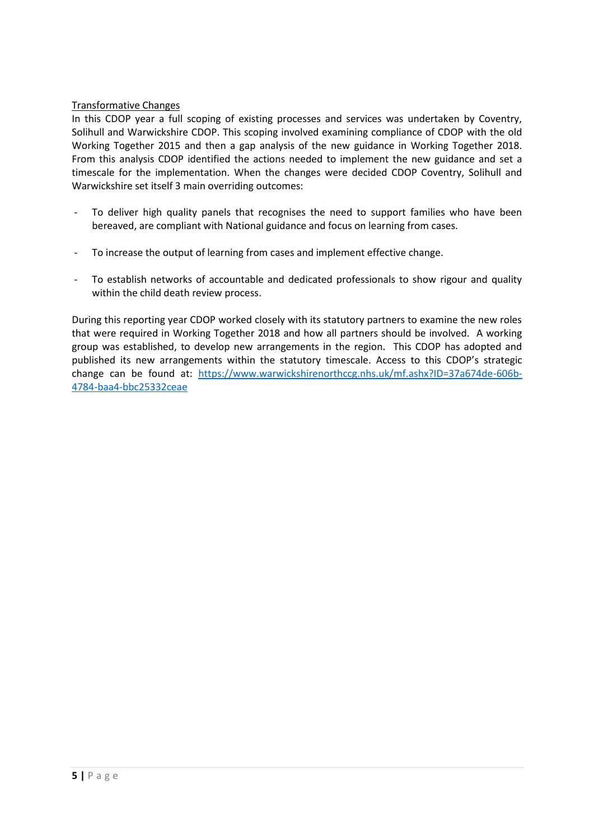# Transformative Changes

In this CDOP year a full scoping of existing processes and services was undertaken by Coventry, Solihull and Warwickshire CDOP. This scoping involved examining compliance of CDOP with the old Working Together 2015 and then a gap analysis of the new guidance in Working Together 2018. From this analysis CDOP identified the actions needed to implement the new guidance and set a timescale for the implementation. When the changes were decided CDOP Coventry, Solihull and Warwickshire set itself 3 main overriding outcomes:

- To deliver high quality panels that recognises the need to support families who have been bereaved, are compliant with National guidance and focus on learning from cases.
- To increase the output of learning from cases and implement effective change.
- To establish networks of accountable and dedicated professionals to show rigour and quality within the child death review process.

During this reporting year CDOP worked closely with its statutory partners to examine the new roles that were required in Working Together 2018 and how all partners should be involved. A working group was established, to develop new arrangements in the region. This CDOP has adopted and published its new arrangements within the statutory timescale. Access to this CDOP's strategic change can be found at: [https://www.warwickshirenorthccg.nhs.uk/mf.ashx?ID=37a674de-606b-](https://www.warwickshirenorthccg.nhs.uk/mf.ashx?ID=37a674de-606b-4784-baa4-bbc25332ceae)[4784-baa4-bbc25332ceae](https://www.warwickshirenorthccg.nhs.uk/mf.ashx?ID=37a674de-606b-4784-baa4-bbc25332ceae)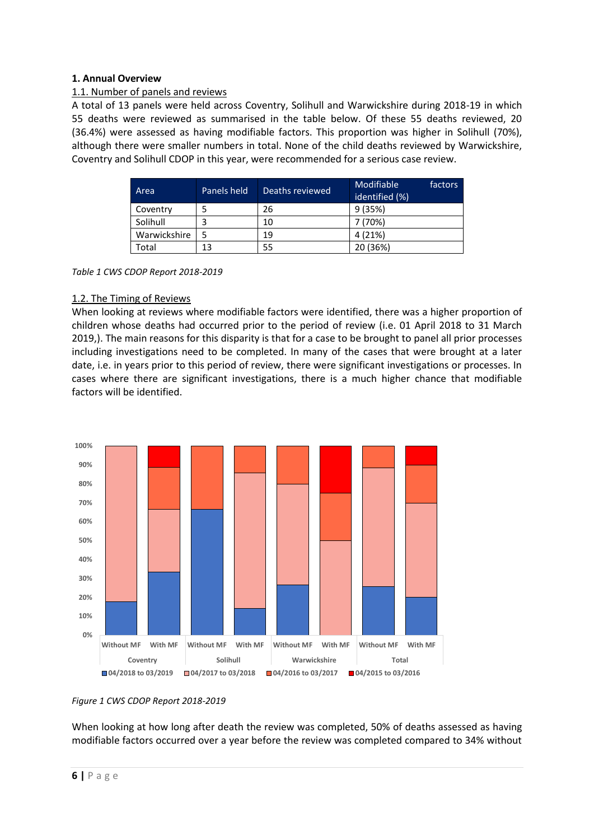## **1. Annual Overview**

## 1.1. Number of panels and reviews

A total of 13 panels were held across Coventry, Solihull and Warwickshire during 2018-19 in which 55 deaths were reviewed as summarised in the table below. Of these 55 deaths reviewed, 20 (36.4%) were assessed as having modifiable factors. This proportion was higher in Solihull (70%), although there were smaller numbers in total. None of the child deaths reviewed by Warwickshire, Coventry and Solihull CDOP in this year, were recommended for a serious case review.

| Area         | Panels held<br>Deaths reviewed |    | Modifiable<br>factors<br>identified (%) |
|--------------|--------------------------------|----|-----------------------------------------|
| Coventry     |                                | 26 | 9(35%)                                  |
| Solihull     |                                | 10 | 7 (70%)                                 |
| Warwickshire |                                | 19 | 4 (21%)                                 |
| Total        | 13                             | 55 | 20 (36%)                                |

*Table 1 CWS CDOP Report 2018-2019*

## 1.2. The Timing of Reviews

When looking at reviews where modifiable factors were identified, there was a higher proportion of children whose deaths had occurred prior to the period of review (i.e. 01 April 2018 to 31 March 2019,). The main reasons for this disparity is that for a case to be brought to panel all prior processes including investigations need to be completed. In many of the cases that were brought at a later date, i.e. in years prior to this period of review, there were significant investigations or processes. In cases where there are significant investigations, there is a much higher chance that modifiable factors will be identified.



#### *Figure 1 CWS CDOP Report 2018-2019*

When looking at how long after death the review was completed, 50% of deaths assessed as having modifiable factors occurred over a year before the review was completed compared to 34% without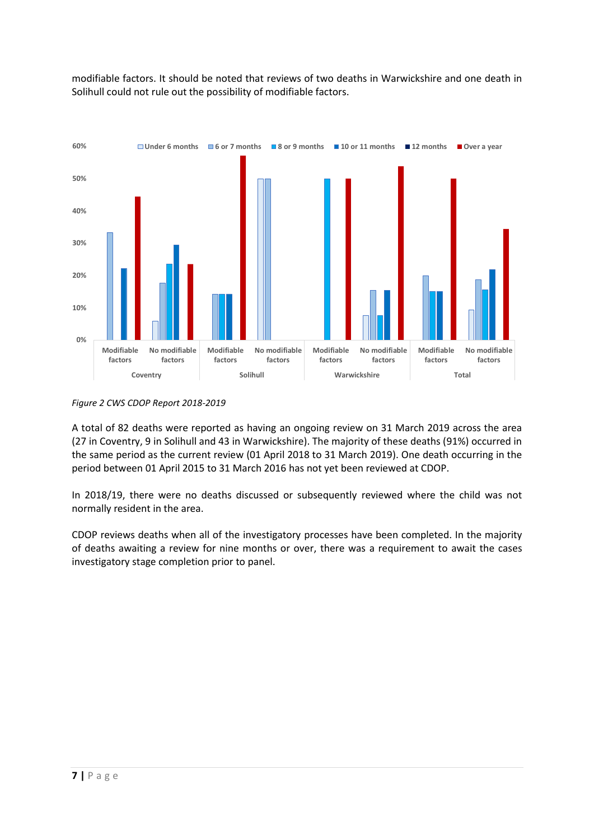modifiable factors. It should be noted that reviews of two deaths in Warwickshire and one death in Solihull could not rule out the possibility of modifiable factors.



*Figure 2 CWS CDOP Report 2018-2019*

A total of 82 deaths were reported as having an ongoing review on 31 March 2019 across the area (27 in Coventry, 9 in Solihull and 43 in Warwickshire). The majority of these deaths (91%) occurred in the same period as the current review (01 April 2018 to 31 March 2019). One death occurring in the period between 01 April 2015 to 31 March 2016 has not yet been reviewed at CDOP.

In 2018/19, there were no deaths discussed or subsequently reviewed where the child was not normally resident in the area.

CDOP reviews deaths when all of the investigatory processes have been completed. In the majority of deaths awaiting a review for nine months or over, there was a requirement to await the cases investigatory stage completion prior to panel.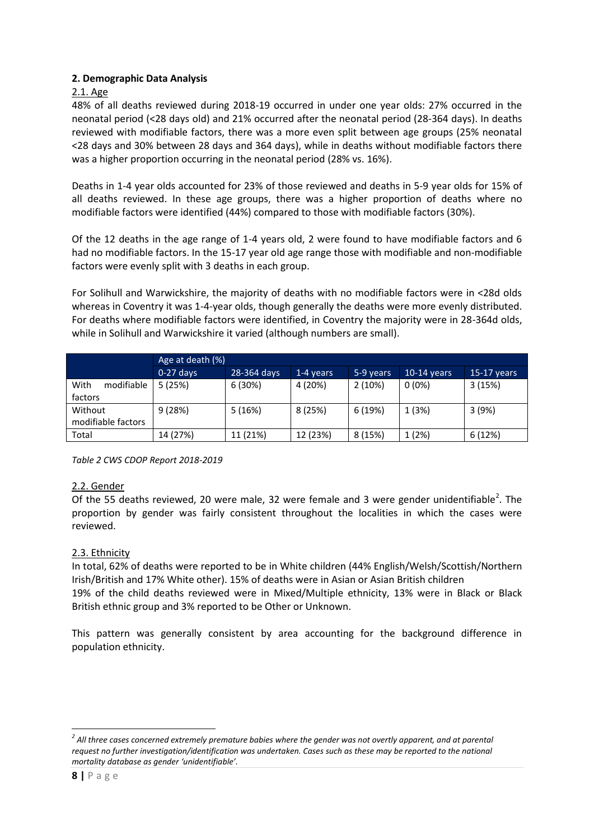# **2. Demographic Data Analysis**

# 2.1. Age

48% of all deaths reviewed during 2018-19 occurred in under one year olds: 27% occurred in the neonatal period (<28 days old) and 21% occurred after the neonatal period (28-364 days). In deaths reviewed with modifiable factors, there was a more even split between age groups (25% neonatal <28 days and 30% between 28 days and 364 days), while in deaths without modifiable factors there was a higher proportion occurring in the neonatal period (28% vs. 16%).

Deaths in 1-4 year olds accounted for 23% of those reviewed and deaths in 5-9 year olds for 15% of all deaths reviewed. In these age groups, there was a higher proportion of deaths where no modifiable factors were identified (44%) compared to those with modifiable factors (30%).

Of the 12 deaths in the age range of 1-4 years old, 2 were found to have modifiable factors and 6 had no modifiable factors. In the 15-17 year old age range those with modifiable and non-modifiable factors were evenly split with 3 deaths in each group.

For Solihull and Warwickshire, the majority of deaths with no modifiable factors were in <28d olds whereas in Coventry it was 1-4-year olds, though generally the deaths were more evenly distributed. For deaths where modifiable factors were identified, in Coventry the majority were in 28-364d olds, while in Solihull and Warwickshire it varied (although numbers are small).

| Age at death (%)   |             |                                         |          |               |               |         |  |
|--------------------|-------------|-----------------------------------------|----------|---------------|---------------|---------|--|
|                    | $0-27$ days | 28-364 days<br>$1-4$ years<br>5-9 years |          | $10-14$ years | $15-17$ years |         |  |
| With<br>modifiable | 5(25%)      | 6 (30%)                                 | 4 (20%)  | 2(10%)        | $0(0\%)$      | 3(15%)  |  |
| factors            |             |                                         |          |               |               |         |  |
| Without            | 9(28%)      | 5(16%)                                  | 8 (25%)  | 6 (19%)       | 1 (3%)        | 3(9%)   |  |
| modifiable factors |             |                                         |          |               |               |         |  |
| Total              | 14 (27%)    | 11 (21%)                                | 12 (23%) | 8 (15%)       | 1(2%)         | 6 (12%) |  |

*Table 2 CWS CDOP Report 2018-2019*

#### 2.2. Gender

Of the 55 deaths reviewed, 20 were male, 32 were female and 3 were gender unidentifiable<sup>2</sup>. The proportion by gender was fairly consistent throughout the localities in which the cases were reviewed.

# 2.3. Ethnicity

In total, 62% of deaths were reported to be in White children (44% English/Welsh/Scottish/Northern Irish/British and 17% White other). 15% of deaths were in Asian or Asian British children 19% of the child deaths reviewed were in Mixed/Multiple ethnicity, 13% were in Black or Black British ethnic group and 3% reported to be Other or Unknown.

This pattern was generally consistent by area accounting for the background difference in population ethnicity.

**.** 

<sup>&</sup>lt;sup>2</sup> All three cases concerned extremely premature babies where the gender was not overtly apparent, and at parental *request no further investigation/identification was undertaken. Cases such as these may be reported to the national mortality database as gender 'unidentifiable'.*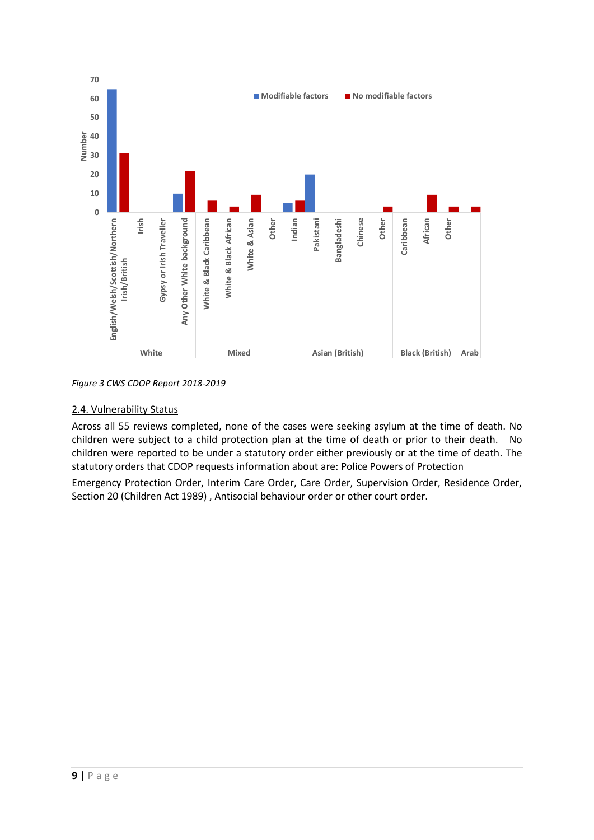

*Figure 3 CWS CDOP Report 2018-2019*

# 2.4. Vulnerability Status

Across all 55 reviews completed, none of the cases were seeking asylum at the time of death. No children were subject to a child protection plan at the time of death or prior to their death. No children were reported to be under a statutory order either previously or at the time of death. The statutory orders that CDOP requests information about are: Police Powers of Protection

Emergency Protection Order, Interim Care Order, Care Order, Supervision Order, Residence Order, Section 20 (Children Act 1989), Antisocial behaviour order or other court order.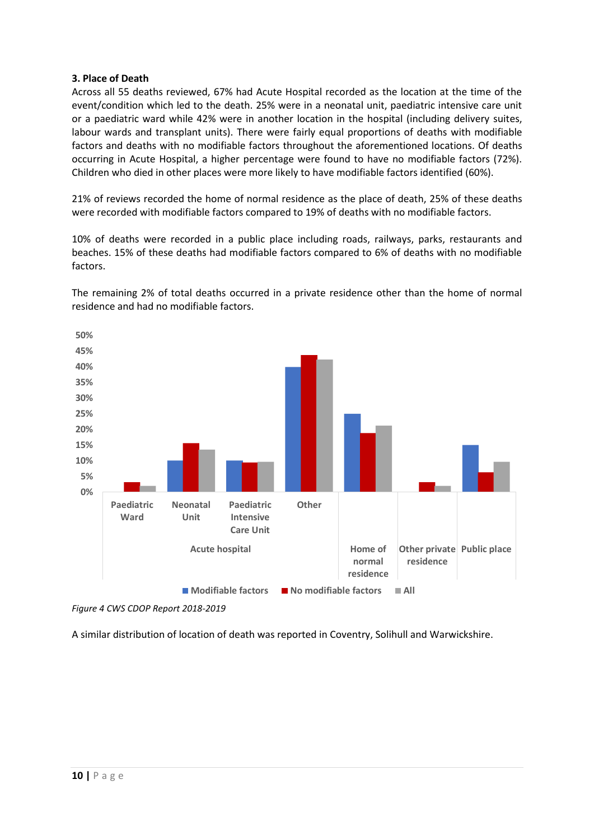## **3. Place of Death**

Across all 55 deaths reviewed, 67% had Acute Hospital recorded as the location at the time of the event/condition which led to the death. 25% were in a neonatal unit, paediatric intensive care unit or a paediatric ward while 42% were in another location in the hospital (including delivery suites, labour wards and transplant units). There were fairly equal proportions of deaths with modifiable factors and deaths with no modifiable factors throughout the aforementioned locations. Of deaths occurring in Acute Hospital, a higher percentage were found to have no modifiable factors (72%). Children who died in other places were more likely to have modifiable factors identified (60%).

21% of reviews recorded the home of normal residence as the place of death, 25% of these deaths were recorded with modifiable factors compared to 19% of deaths with no modifiable factors.

10% of deaths were recorded in a public place including roads, railways, parks, restaurants and beaches. 15% of these deaths had modifiable factors compared to 6% of deaths with no modifiable factors.

The remaining 2% of total deaths occurred in a private residence other than the home of normal residence and had no modifiable factors.



*Figure 4 CWS CDOP Report 2018-2019*

A similar distribution of location of death was reported in Coventry, Solihull and Warwickshire.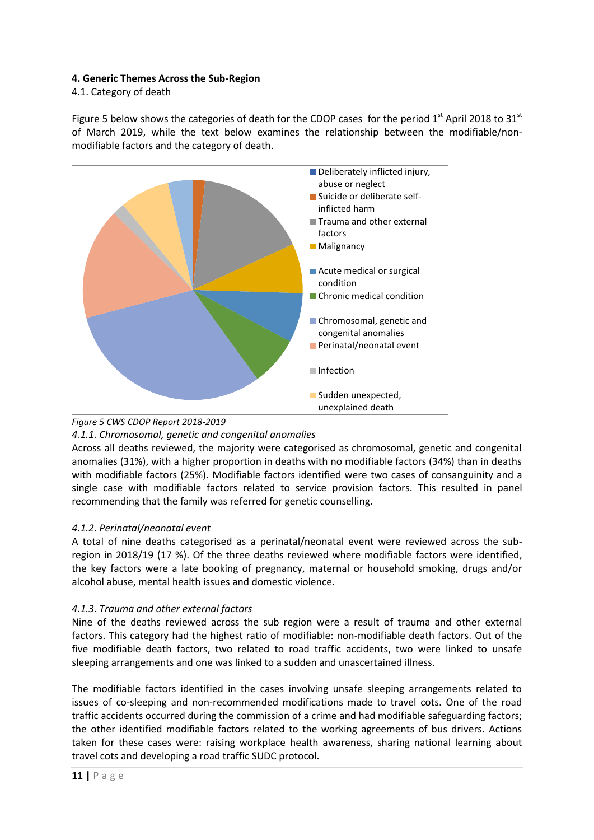# **4. Generic Themes Across the Sub-Region**

## 4.1. Category of death

Figure 5 below shows the categories of death for the CDOP cases for the period  $1<sup>st</sup>$  April 2018 to 31 $<sup>st</sup>$ </sup> of March 2019, while the text below examines the relationship between the modifiable/nonmodifiable factors and the category of death.





#### *4.1.1. Chromosomal, genetic and congenital anomalies*

Across all deaths reviewed, the majority were categorised as chromosomal, genetic and congenital anomalies (31%), with a higher proportion in deaths with no modifiable factors (34%) than in deaths with modifiable factors (25%). Modifiable factors identified were two cases of consanguinity and a single case with modifiable factors related to service provision factors. This resulted in panel recommending that the family was referred for genetic counselling.

# *4.1.2. Perinatal/neonatal event*

A total of nine deaths categorised as a perinatal/neonatal event were reviewed across the subregion in 2018/19 (17 %). Of the three deaths reviewed where modifiable factors were identified, the key factors were a late booking of pregnancy, maternal or household smoking, drugs and/or alcohol abuse, mental health issues and domestic violence.

# *4.1.3. Trauma and other external factors*

Nine of the deaths reviewed across the sub region were a result of trauma and other external factors. This category had the highest ratio of modifiable: non-modifiable death factors. Out of the five modifiable death factors, two related to road traffic accidents, two were linked to unsafe sleeping arrangements and one was linked to a sudden and unascertained illness.

The modifiable factors identified in the cases involving unsafe sleeping arrangements related to issues of co-sleeping and non-recommended modifications made to travel cots. One of the road traffic accidents occurred during the commission of a crime and had modifiable safeguarding factors; the other identified modifiable factors related to the working agreements of bus drivers. Actions taken for these cases were: raising workplace health awareness, sharing national learning about travel cots and developing a road traffic SUDC protocol.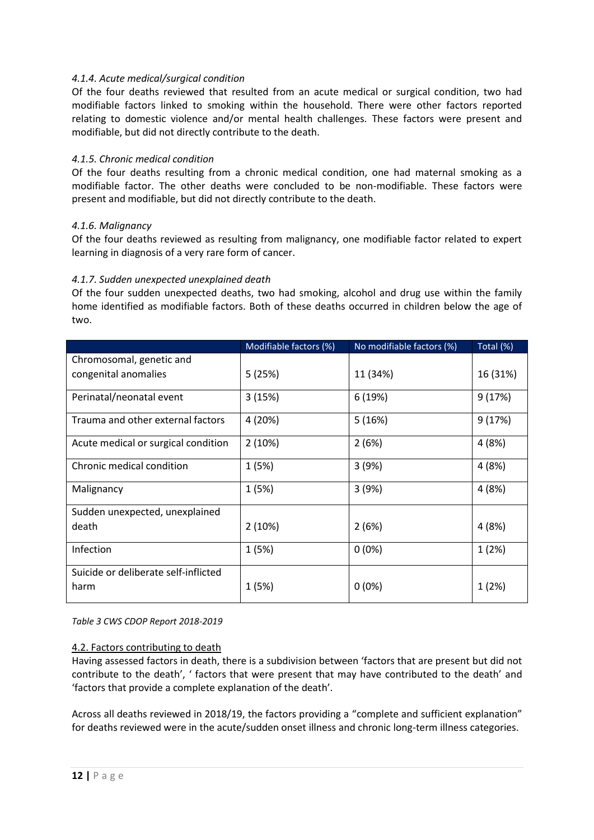## *4.1.4. Acute medical/surgical condition*

Of the four deaths reviewed that resulted from an acute medical or surgical condition, two had modifiable factors linked to smoking within the household. There were other factors reported relating to domestic violence and/or mental health challenges. These factors were present and modifiable, but did not directly contribute to the death.

## *4.1.5. Chronic medical condition*

Of the four deaths resulting from a chronic medical condition, one had maternal smoking as a modifiable factor. The other deaths were concluded to be non-modifiable. These factors were present and modifiable, but did not directly contribute to the death.

## *4.1.6. Malignancy*

Of the four deaths reviewed as resulting from malignancy, one modifiable factor related to expert learning in diagnosis of a very rare form of cancer.

#### *4.1.7. Sudden unexpected unexplained death*

Of the four sudden unexpected deaths, two had smoking, alcohol and drug use within the family home identified as modifiable factors. Both of these deaths occurred in children below the age of two.

|                                      | Modifiable factors (%) | No modifiable factors (%) | Total (%) |
|--------------------------------------|------------------------|---------------------------|-----------|
| Chromosomal, genetic and             |                        |                           |           |
| congenital anomalies                 | 5(25%)                 | 11 (34%)                  | 16 (31%)  |
| Perinatal/neonatal event             | 3(15%)                 | 6 (19%)                   | 9(17%)    |
| Trauma and other external factors    | 4 (20%)                | 5(16%)                    | 9(17%)    |
| Acute medical or surgical condition  | 2(10%)                 | 2(6%)                     | 4 (8%)    |
| Chronic medical condition            | 1 (5%)                 | 3(9%)                     | 4(8%)     |
| Malignancy                           | 1 (5%)                 | 3(9%)                     | 4 (8%)    |
| Sudden unexpected, unexplained       |                        |                           |           |
| death                                | 2(10%)                 | 2(6%)                     | 4 (8%)    |
| Infection                            | 1(5%)                  | $0(0\%)$                  | 1(2%)     |
| Suicide or deliberate self-inflicted |                        |                           |           |
| harm                                 | 1 (5%)                 | $0(0\%)$                  | 1(2%)     |

*Table 3 CWS CDOP Report 2018-2019*

#### 4.2. Factors contributing to death

Having assessed factors in death, there is a subdivision between 'factors that are present but did not contribute to the death', ' factors that were present that may have contributed to the death' and 'factors that provide a complete explanation of the death'.

Across all deaths reviewed in 2018/19, the factors providing a "complete and sufficient explanation" for deaths reviewed were in the acute/sudden onset illness and chronic long-term illness categories.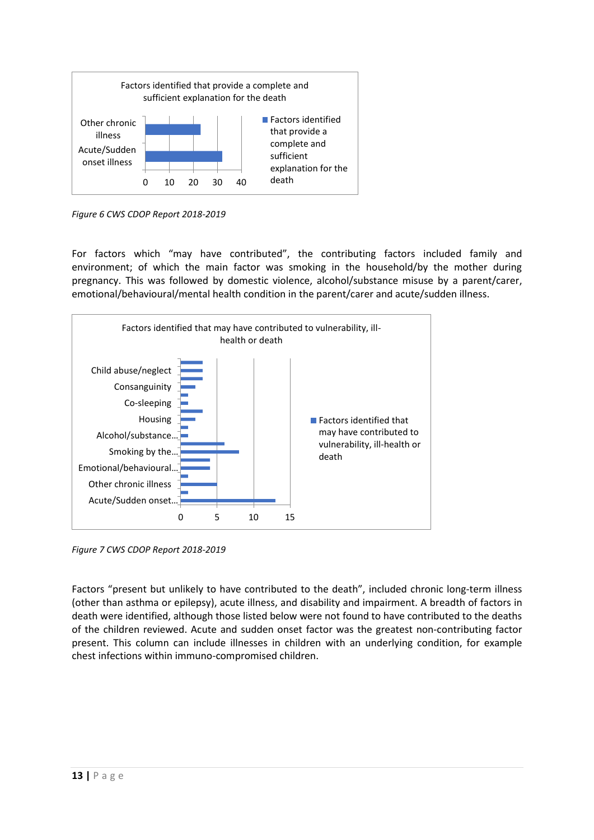

*Figure 6 CWS CDOP Report 2018-2019*

For factors which "may have contributed", the contributing factors included family and environment; of which the main factor was smoking in the household/by the mother during pregnancy. This was followed by domestic violence, alcohol/substance misuse by a parent/carer, emotional/behavioural/mental health condition in the parent/carer and acute/sudden illness.



*Figure 7 CWS CDOP Report 2018-2019*

Factors "present but unlikely to have contributed to the death", included chronic long-term illness (other than asthma or epilepsy), acute illness, and disability and impairment. A breadth of factors in death were identified, although those listed below were not found to have contributed to the deaths of the children reviewed. Acute and sudden onset factor was the greatest non-contributing factor present. This column can include illnesses in children with an underlying condition, for example chest infections within immuno-compromised children.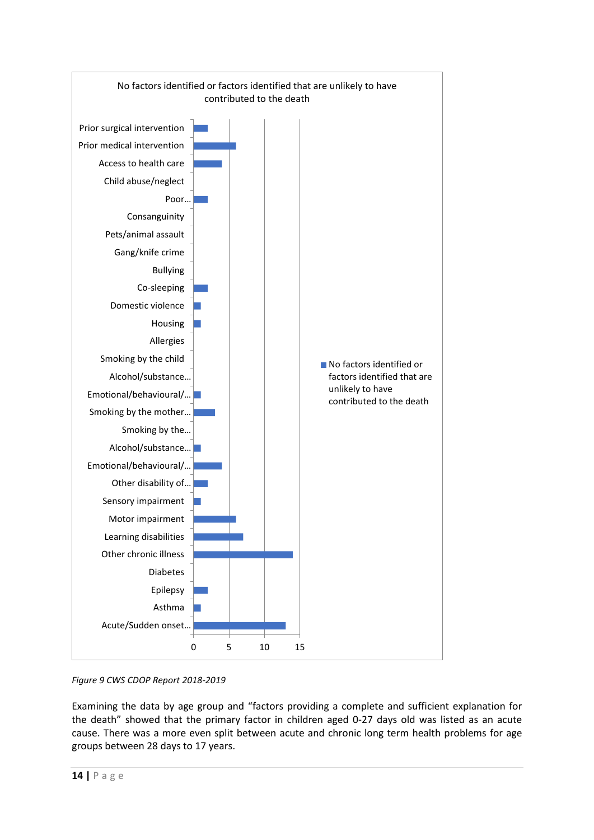

*Figure 9 CWS CDOP Report 2018-2019*

Examining the data by age group and "factors providing a complete and sufficient explanation for the death" showed that the primary factor in children aged 0-27 days old was listed as an acute cause. There was a more even split between acute and chronic long term health problems for age groups between 28 days to 17 years.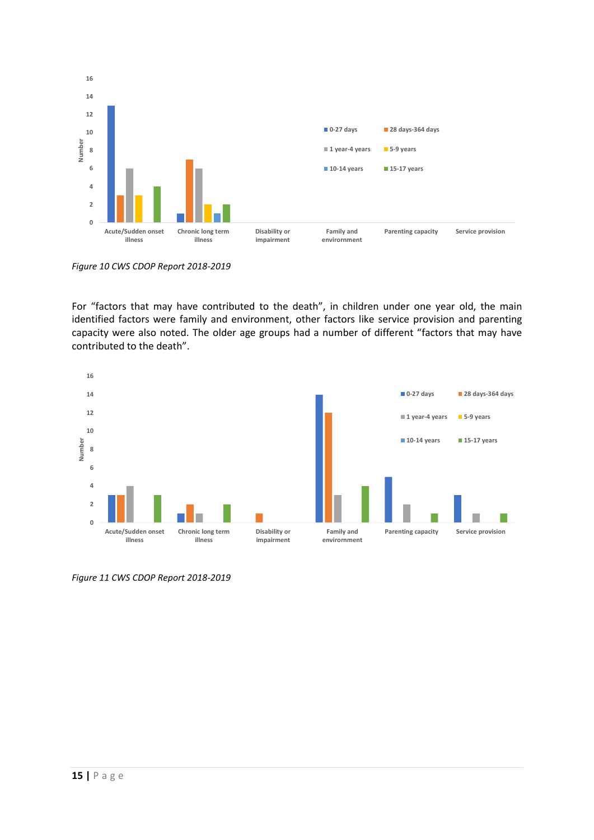

*Figure 10 CWS CDOP Report 2018-2019*

For "factors that may have contributed to the death", in children under one year old, the main identified factors were family and environment, other factors like service provision and parenting capacity were also noted. The older age groups had a number of different "factors that may have contributed to the death".



*Figure 11 CWS CDOP Report 2018-2019*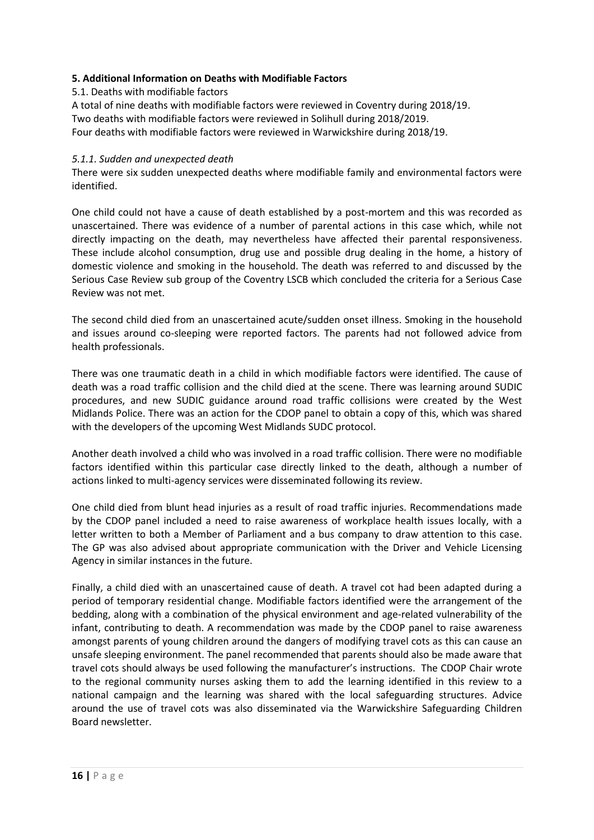# **5. Additional Information on Deaths with Modifiable Factors**

## 5.1. Deaths with modifiable factors

A total of nine deaths with modifiable factors were reviewed in Coventry during 2018/19. Two deaths with modifiable factors were reviewed in Solihull during 2018/2019. Four deaths with modifiable factors were reviewed in Warwickshire during 2018/19.

## *5.1.1. Sudden and unexpected death*

There were six sudden unexpected deaths where modifiable family and environmental factors were identified.

One child could not have a cause of death established by a post-mortem and this was recorded as unascertained. There was evidence of a number of parental actions in this case which, while not directly impacting on the death, may nevertheless have affected their parental responsiveness. These include alcohol consumption, drug use and possible drug dealing in the home, a history of domestic violence and smoking in the household. The death was referred to and discussed by the Serious Case Review sub group of the Coventry LSCB which concluded the criteria for a Serious Case Review was not met.

The second child died from an unascertained acute/sudden onset illness. Smoking in the household and issues around co-sleeping were reported factors. The parents had not followed advice from health professionals.

There was one traumatic death in a child in which modifiable factors were identified. The cause of death was a road traffic collision and the child died at the scene. There was learning around SUDIC procedures, and new SUDIC guidance around road traffic collisions were created by the West Midlands Police. There was an action for the CDOP panel to obtain a copy of this, which was shared with the developers of the upcoming West Midlands SUDC protocol.

Another death involved a child who was involved in a road traffic collision. There were no modifiable factors identified within this particular case directly linked to the death, although a number of actions linked to multi-agency services were disseminated following its review.

One child died from blunt head injuries as a result of road traffic injuries. Recommendations made by the CDOP panel included a need to raise awareness of workplace health issues locally, with a letter written to both a Member of Parliament and a bus company to draw attention to this case. The GP was also advised about appropriate communication with the Driver and Vehicle Licensing Agency in similar instances in the future.

Finally, a child died with an unascertained cause of death. A travel cot had been adapted during a period of temporary residential change. Modifiable factors identified were the arrangement of the bedding, along with a combination of the physical environment and age-related vulnerability of the infant, contributing to death. A recommendation was made by the CDOP panel to raise awareness amongst parents of young children around the dangers of modifying travel cots as this can cause an unsafe sleeping environment. The panel recommended that parents should also be made aware that travel cots should always be used following the manufacturer's instructions. The CDOP Chair wrote to the regional community nurses asking them to add the learning identified in this review to a national campaign and the learning was shared with the local safeguarding structures. Advice around the use of travel cots was also disseminated via the Warwickshire Safeguarding Children Board newsletter.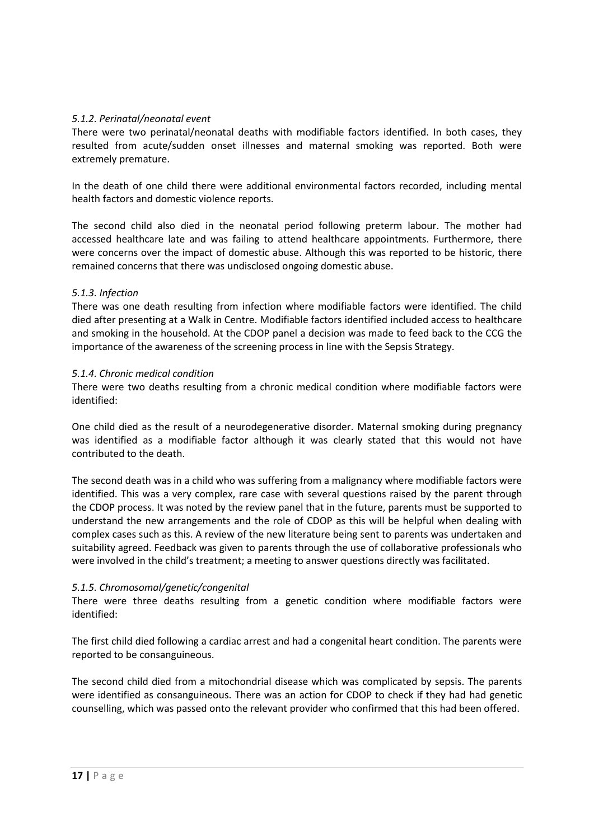## *5.1.2. Perinatal/neonatal event*

There were two perinatal/neonatal deaths with modifiable factors identified. In both cases, they resulted from acute/sudden onset illnesses and maternal smoking was reported. Both were extremely premature.

In the death of one child there were additional environmental factors recorded, including mental health factors and domestic violence reports.

The second child also died in the neonatal period following preterm labour. The mother had accessed healthcare late and was failing to attend healthcare appointments. Furthermore, there were concerns over the impact of domestic abuse. Although this was reported to be historic, there remained concerns that there was undisclosed ongoing domestic abuse.

#### *5.1.3. Infection*

There was one death resulting from infection where modifiable factors were identified. The child died after presenting at a Walk in Centre. Modifiable factors identified included access to healthcare and smoking in the household. At the CDOP panel a decision was made to feed back to the CCG the importance of the awareness of the screening process in line with the Sepsis Strategy.

#### *5.1.4. Chronic medical condition*

There were two deaths resulting from a chronic medical condition where modifiable factors were identified:

One child died as the result of a neurodegenerative disorder. Maternal smoking during pregnancy was identified as a modifiable factor although it was clearly stated that this would not have contributed to the death.

The second death was in a child who was suffering from a malignancy where modifiable factors were identified. This was a very complex, rare case with several questions raised by the parent through the CDOP process. It was noted by the review panel that in the future, parents must be supported to understand the new arrangements and the role of CDOP as this will be helpful when dealing with complex cases such as this. A review of the new literature being sent to parents was undertaken and suitability agreed. Feedback was given to parents through the use of collaborative professionals who were involved in the child's treatment; a meeting to answer questions directly was facilitated.

#### *5.1.5. Chromosomal/genetic/congenital*

There were three deaths resulting from a genetic condition where modifiable factors were identified:

The first child died following a cardiac arrest and had a congenital heart condition. The parents were reported to be consanguineous.

The second child died from a mitochondrial disease which was complicated by sepsis. The parents were identified as consanguineous. There was an action for CDOP to check if they had had genetic counselling, which was passed onto the relevant provider who confirmed that this had been offered.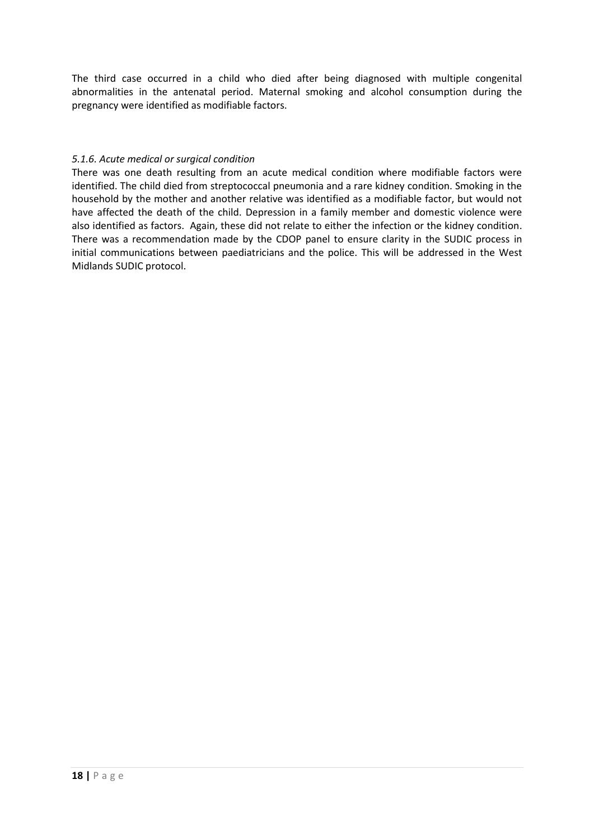The third case occurred in a child who died after being diagnosed with multiple congenital abnormalities in the antenatal period. Maternal smoking and alcohol consumption during the pregnancy were identified as modifiable factors.

## *5.1.6. Acute medical or surgical condition*

There was one death resulting from an acute medical condition where modifiable factors were identified. The child died from streptococcal pneumonia and a rare kidney condition. Smoking in the household by the mother and another relative was identified as a modifiable factor, but would not have affected the death of the child. Depression in a family member and domestic violence were also identified as factors. Again, these did not relate to either the infection or the kidney condition. There was a recommendation made by the CDOP panel to ensure clarity in the SUDIC process in initial communications between paediatricians and the police. This will be addressed in the West Midlands SUDIC protocol.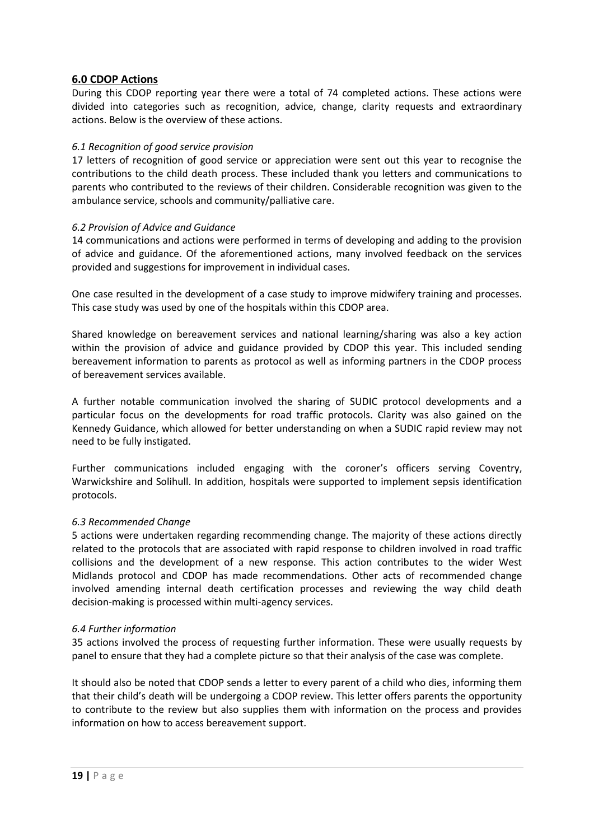# **6.0 CDOP Actions**

During this CDOP reporting year there were a total of 74 completed actions. These actions were divided into categories such as recognition, advice, change, clarity requests and extraordinary actions. Below is the overview of these actions.

#### *6.1 Recognition of good service provision*

17 letters of recognition of good service or appreciation were sent out this year to recognise the contributions to the child death process. These included thank you letters and communications to parents who contributed to the reviews of their children. Considerable recognition was given to the ambulance service, schools and community/palliative care.

## *6.2 Provision of Advice and Guidance*

14 communications and actions were performed in terms of developing and adding to the provision of advice and guidance. Of the aforementioned actions, many involved feedback on the services provided and suggestions for improvement in individual cases.

One case resulted in the development of a case study to improve midwifery training and processes. This case study was used by one of the hospitals within this CDOP area.

Shared knowledge on bereavement services and national learning/sharing was also a key action within the provision of advice and guidance provided by CDOP this year. This included sending bereavement information to parents as protocol as well as informing partners in the CDOP process of bereavement services available.

A further notable communication involved the sharing of SUDIC protocol developments and a particular focus on the developments for road traffic protocols. Clarity was also gained on the Kennedy Guidance, which allowed for better understanding on when a SUDIC rapid review may not need to be fully instigated.

Further communications included engaging with the coroner's officers serving Coventry, Warwickshire and Solihull. In addition, hospitals were supported to implement sepsis identification protocols.

#### *6.3 Recommended Change*

5 actions were undertaken regarding recommending change. The majority of these actions directly related to the protocols that are associated with rapid response to children involved in road traffic collisions and the development of a new response. This action contributes to the wider West Midlands protocol and CDOP has made recommendations. Other acts of recommended change involved amending internal death certification processes and reviewing the way child death decision-making is processed within multi-agency services.

#### *6.4 Further information*

35 actions involved the process of requesting further information. These were usually requests by panel to ensure that they had a complete picture so that their analysis of the case was complete.

It should also be noted that CDOP sends a letter to every parent of a child who dies, informing them that their child's death will be undergoing a CDOP review. This letter offers parents the opportunity to contribute to the review but also supplies them with information on the process and provides information on how to access bereavement support.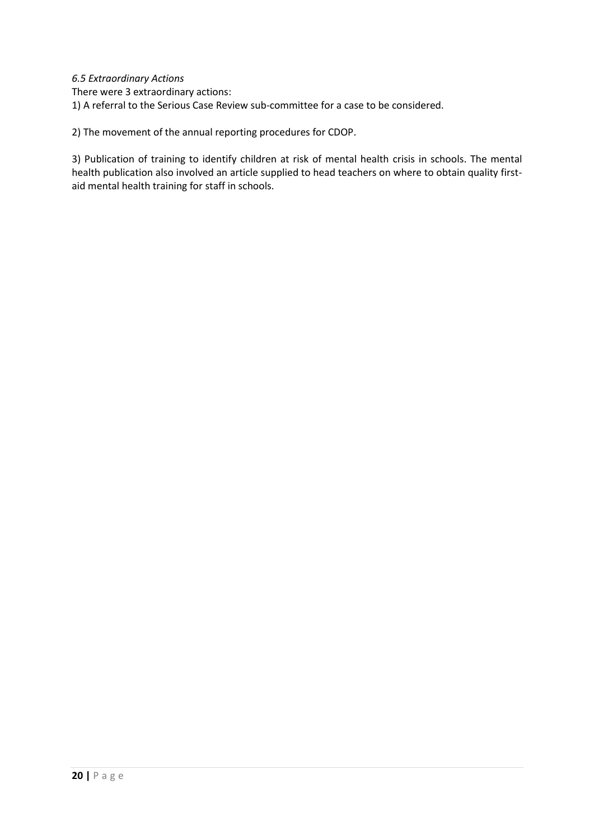## *6.5 Extraordinary Actions*

There were 3 extraordinary actions:

1) A referral to the Serious Case Review sub-committee for a case to be considered.

2) The movement of the annual reporting procedures for CDOP.

3) Publication of training to identify children at risk of mental health crisis in schools. The mental health publication also involved an article supplied to head teachers on where to obtain quality firstaid mental health training for staff in schools.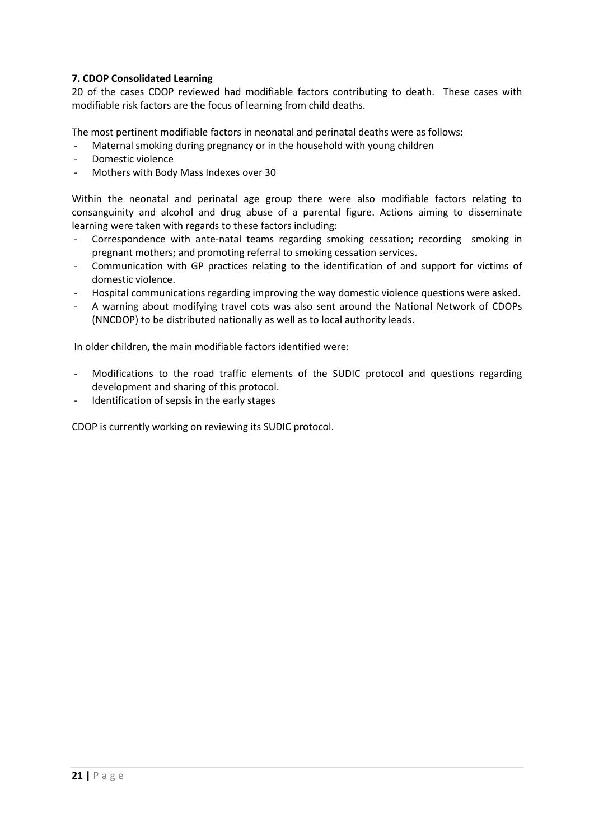# **7. CDOP Consolidated Learning**

20 of the cases CDOP reviewed had modifiable factors contributing to death. These cases with modifiable risk factors are the focus of learning from child deaths.

The most pertinent modifiable factors in neonatal and perinatal deaths were as follows:

- Maternal smoking during pregnancy or in the household with young children
- Domestic violence
- Mothers with Body Mass Indexes over 30

Within the neonatal and perinatal age group there were also modifiable factors relating to consanguinity and alcohol and drug abuse of a parental figure. Actions aiming to disseminate learning were taken with regards to these factors including:

- Correspondence with ante-natal teams regarding smoking cessation; recording smoking in pregnant mothers; and promoting referral to smoking cessation services.
- Communication with GP practices relating to the identification of and support for victims of domestic violence.
- Hospital communications regarding improving the way domestic violence questions were asked.
- A warning about modifying travel cots was also sent around the National Network of CDOPs (NNCDOP) to be distributed nationally as well as to local authority leads.

In older children, the main modifiable factors identified were:

- Modifications to the road traffic elements of the SUDIC protocol and questions regarding development and sharing of this protocol.
- Identification of sepsis in the early stages

CDOP is currently working on reviewing its SUDIC protocol.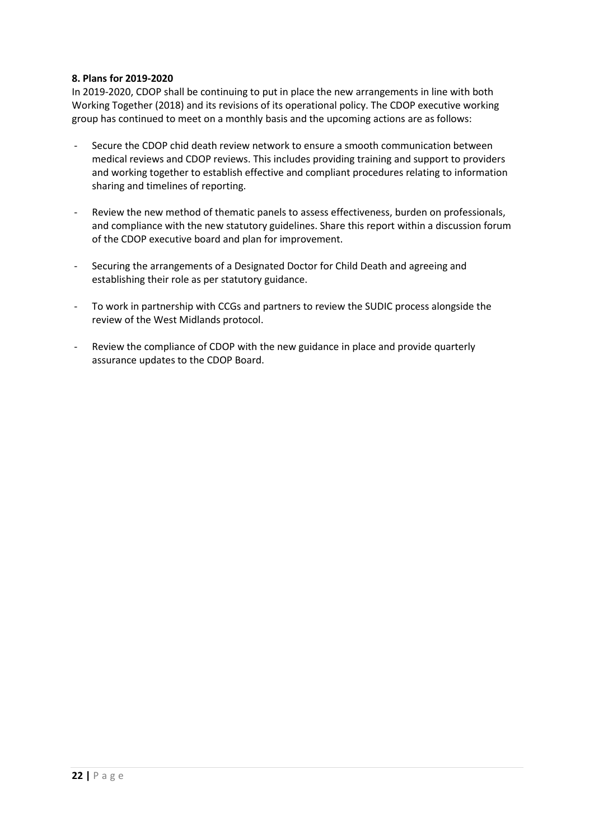#### **8. Plans for 2019-2020**

In 2019-2020, CDOP shall be continuing to put in place the new arrangements in line with both Working Together (2018) and its revisions of its operational policy. The CDOP executive working group has continued to meet on a monthly basis and the upcoming actions are as follows:

- Secure the CDOP chid death review network to ensure a smooth communication between medical reviews and CDOP reviews. This includes providing training and support to providers and working together to establish effective and compliant procedures relating to information sharing and timelines of reporting.
- Review the new method of thematic panels to assess effectiveness, burden on professionals, and compliance with the new statutory guidelines. Share this report within a discussion forum of the CDOP executive board and plan for improvement.
- Securing the arrangements of a Designated Doctor for Child Death and agreeing and establishing their role as per statutory guidance.
- To work in partnership with CCGs and partners to review the SUDIC process alongside the review of the West Midlands protocol.
- Review the compliance of CDOP with the new guidance in place and provide quarterly assurance updates to the CDOP Board.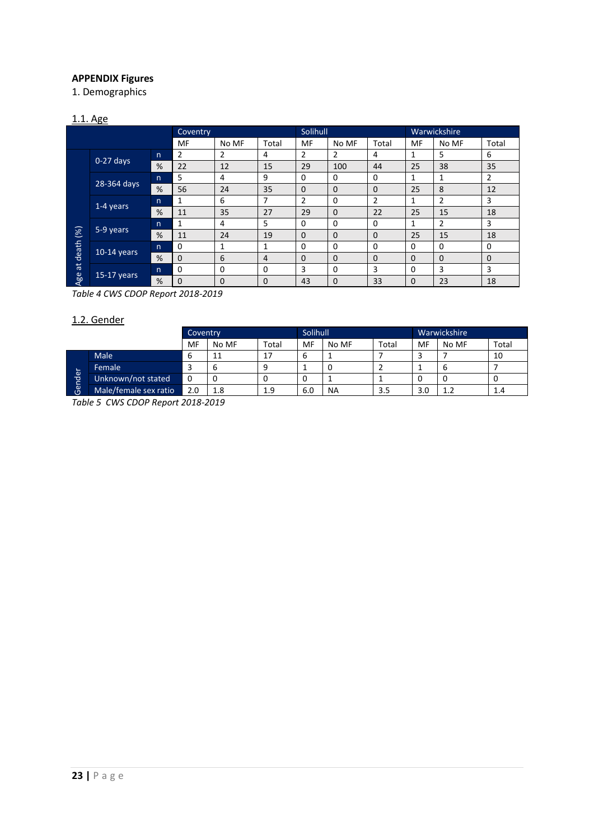# **APPENDIX Figures**

1. Demographics

## 1.1. Age

|            |               |              | <b>Coventry</b> |       |       | Solihull |                |       | Warwickshire |          |                |  |
|------------|---------------|--------------|-----------------|-------|-------|----------|----------------|-------|--------------|----------|----------------|--|
|            |               |              | MF              | No MF | Total | MF       | No MF          | Total | MF           | No MF    | Total          |  |
|            | $0-27$ days   | n            | 2               | 2     | 4     | 2        | $\overline{2}$ | 4     | 1            | 5        | 6              |  |
|            |               | %            | 22              | 12    | 15    | 29       | 100            | 44    | 25           | 38       | 35             |  |
|            |               | $\mathsf{n}$ | 5               | 4     | 9     | $\Omega$ | 0              | 0     | 1            | 1        | $\overline{2}$ |  |
|            | 28-364 days   | %            | 56              | 24    | 35    | $\Omega$ | $\mathbf 0$    | 0     | 25           | 8        | 12             |  |
|            | 1-4 years     | n            | 1               | 6     | 7     | 2        | 0              | 2     | 1            | 2        | 3              |  |
|            |               | %            | 11              | 35    | 27    | 29       | $\mathbf 0$    | 22    | 25           | 15       | 18             |  |
|            | $5-9$ years   | $\mathsf{n}$ | 1               | 4     | 5     | 0        | 0              | 0     | 1            | 2        | 3              |  |
| (%)        |               | %            | 11              | 24    | 19    | $\Omega$ | $\Omega$       | 0     | 25           | 15       | 18             |  |
| death      |               | $\mathsf{n}$ | 0               | 1     | 1     | 0        | 0              | 0     | $\Omega$     | 0        | 0              |  |
|            | $10-14$ years | %            | $\Omega$        | 6     | 4     | $\Omega$ | $\mathbf 0$    | 0     | $\Omega$     | $\Omega$ | $\mathbf 0$    |  |
| $\ddot{a}$ |               | $\mathsf{n}$ | $\Omega$        | 0     | 0     | 3        | 0              | 3     | 0            | 3        | 3              |  |
| Age        | $15-17$ years | %            | 0               | 0     | 0     | 43       | 0              | 33    | 0            | 23       | 18             |  |

*Table 4 CWS CDOP Report 2018-2019*

# 1.2. Gender

|      |                       | Coventry |       |       | Solihull |           |       | Warwickshire |       |       |  |
|------|-----------------------|----------|-------|-------|----------|-----------|-------|--------------|-------|-------|--|
|      |                       | MF       | No MF | Total | MF       | No MF     | Total | MF           | No MF | Total |  |
|      | <b>Male</b>           | ь        | 11    | 17    | 6        |           |       |              |       | 10    |  |
| ┶    | <b>Female</b>         |          | ь     | 9     |          | 0         |       |              |       |       |  |
| nder | Unknown/not stated    | 0        | 0     | 0     | 0        |           |       | υ            |       | U     |  |
| ြစ္ပ | Male/female sex ratio | 2.0      | 1.8   | 1.9   | 6.0      | <b>NA</b> | 3.5   | 3.0          | 1.2   | 1.4   |  |

*Table 5 CWS CDOP Report 2018-2019*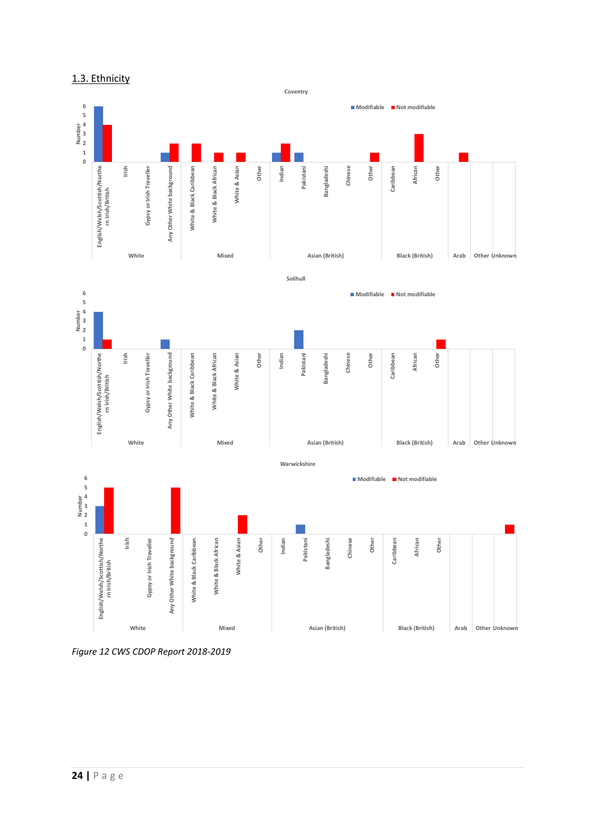



```
Figure 12 CWS CDOP Report 2018-2019
```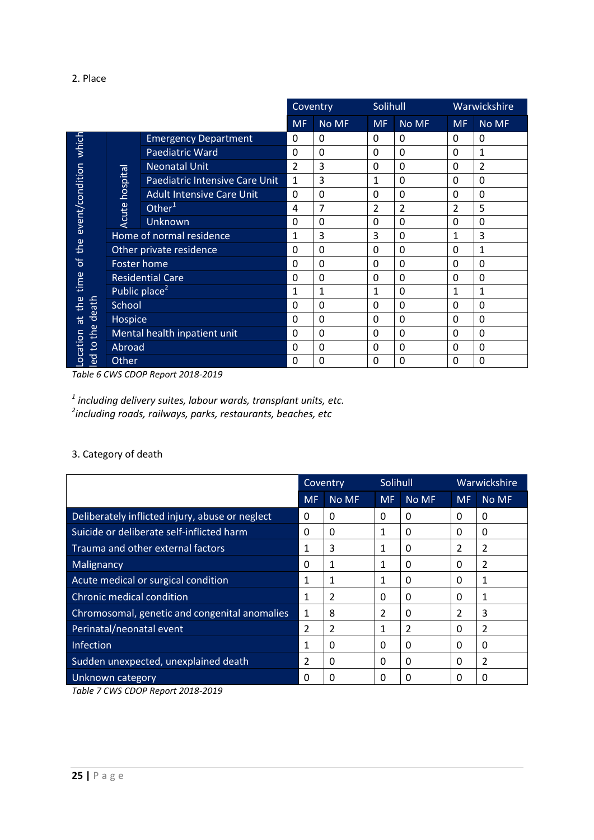#### 2. Place

|                          |                           |                                  | Coventry       |          | Solihull       |             |                | Warwickshire |
|--------------------------|---------------------------|----------------------------------|----------------|----------|----------------|-------------|----------------|--------------|
|                          |                           |                                  | <b>MF</b>      | No MF    | <b>MF</b>      | No MF       | <b>MF</b>      | No MF        |
| which                    |                           | <b>Emergency Department</b>      | 0              | 0        | 0              | 0           | $\Omega$       | 0            |
|                          |                           | <b>Paediatric Ward</b>           | 0              | 0        | 0              | $\mathbf 0$ | $\Omega$       | 1            |
|                          |                           | <b>Neonatal Unit</b>             | $\overline{2}$ | 3        | 0              | $\mathbf 0$ | 0              | 2            |
|                          | hospital                  | Paediatric Intensive Care Unit   | $\mathbf{1}$   | 3        | 1              | $\mathbf 0$ | 0              | 0            |
|                          |                           | <b>Adult Intensive Care Unit</b> | 0              | 0        | $\mathbf{0}$   | $\mathbf 0$ | 0              | 0            |
| the event/condition      | Acute                     | Other <sup>1</sup>               | 4              | 7        | $\overline{2}$ | 2           | $\mathfrak{p}$ | 5            |
|                          |                           | <b>Unknown</b>                   | $\Omega$       | 0        | $\mathbf{0}$   | 0           | $\Omega$       | 0            |
|                          | Home of normal residence  |                                  | 1              | 3        | 3              | $\mathbf 0$ | 1              | 3            |
|                          |                           | Other private residence          | $\mathbf{0}$   | 0        | 0              | $\mathbf 0$ | $\Omega$       | 1            |
| $\mathcal{L}$            | <b>Foster home</b>        |                                  | 0              | 0        | $\mathbf{0}$   | $\mathbf 0$ | $\Omega$       | 0            |
| time                     |                           | <b>Residential Care</b>          | 0              | 0        | 0              | $\mathbf 0$ | 0              | 0            |
|                          | Public place <sup>2</sup> |                                  | 1              | 1        | 1              | $\mathbf 0$ | 1              | 1            |
| the<br>death             | School                    |                                  | $\Omega$       | 0        | 0              | $\mathbf 0$ | $\Omega$       | 0            |
| $\vec{a}$                | Hospice                   |                                  | $\Omega$       | 0        | 0              | $\mathbf 0$ | 0              | 0            |
| the                      |                           | Mental health inpatient unit     | $\mathbf{0}$   | 0        | 0              | 0           | $\Omega$       | 0            |
| Location<br>$\mathbf{S}$ | Abroad                    |                                  | $\Omega$       | 0        | 0              | 0           | 0              | 0            |
| led                      | Other                     |                                  | $\Omega$       | $\Omega$ | 0              | 0           | 0              | 0            |

*Table 6 CWS CDOP Report 2018-2019*

*1 including delivery suites, labour wards, transplant units, etc. 2 including roads, railways, parks, restaurants, beaches, etc*

# 3. Category of death

|                                                 |                | Coventry |              | Solihull | Warwickshire |       |  |
|-------------------------------------------------|----------------|----------|--------------|----------|--------------|-------|--|
|                                                 | <b>MF</b>      | No MF    | <b>MF</b>    | No MF    | <b>MF</b>    | No MF |  |
| Deliberately inflicted injury, abuse or neglect | 0              | O        | 0            | 0        | 0            | 0     |  |
| Suicide or deliberate self-inflicted harm       | 0              | 0        | 1            | 0        | 0            | 0     |  |
| Trauma and other external factors               | 1              | 3        | 1            | 0        | 2            | 2     |  |
| Malignancy                                      | 0              | 1        | 1            | 0        | 0            | 2     |  |
| Acute medical or surgical condition             | 1              | 1        | 1            | 0        | 0            | 1     |  |
| Chronic medical condition                       | 1              |          | 0            | 0        | 0            | 1     |  |
| Chromosomal, genetic and congenital anomalies   | 1              | 8        | 2            | $\Omega$ | 2            | 3     |  |
| Perinatal/neonatal event                        | $\mathcal{P}$  | 2        | 1            | 2        | 0            | 2     |  |
| Infection                                       |                | 0        | 0            | 0        | 0            | 0     |  |
| Sudden unexpected, unexplained death            | $\mathfrak{p}$ | 0        | <sup>0</sup> | 0        | 0            | 2     |  |
| Unknown category                                | 0              | ი        | O            | O        | 0            | 0     |  |

*Table 7 CWS CDOP Report 2018-2019*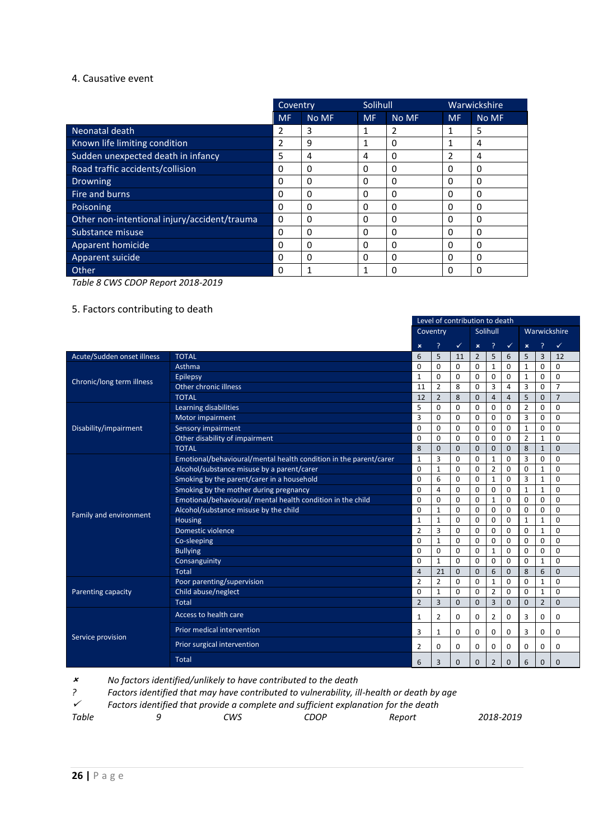#### 4. Causative event

|                                              | Coventry  |       | Solihull  |       |           | Warwickshire |
|----------------------------------------------|-----------|-------|-----------|-------|-----------|--------------|
|                                              | <b>MF</b> | No MF | <b>MF</b> | No MF | <b>MF</b> | No MF        |
| Neonatal death                               | 2         | 3     | 1         | 2     |           | 5            |
| Known life limiting condition                | 2         | 9     | 1         | 0     | 1         | 4            |
| Sudden unexpected death in infancy           | 5         | 4     | 4         | 0     | 2         | 4            |
| Road traffic accidents/collision             | 0         | 0     | 0         | 0     | 0         | 0            |
| <b>Drowning</b>                              | 0         | 0     | $\Omega$  | 0     | 0         | 0            |
| Fire and burns                               | 0         | 0     | 0         | 0     | 0         | 0            |
| Poisoning                                    | 0         | 0     | 0         | 0     | 0         | 0            |
| Other non-intentional injury/accident/trauma | $\Omega$  | 0     | 0         | 0     | 0         | $\Omega$     |
| Substance misuse                             | $\Omega$  | 0     | $\Omega$  | 0     | 0         | 0            |
| Apparent homicide                            | 0         | 0     | 0         | Ω     | 0         | 0            |
| Apparent suicide                             | 0         | 0     | $\Omega$  | 0     | 0         | 0            |
| Other                                        | $\Omega$  |       | 1         | U     | 0         | O            |

*Table 8 CWS CDOP Report 2018-2019*

# 5. Factors contributing to death

|                                                                                                                                                                                                                                                                                                                                                                                                                                                                                                                                                                                                                                                               |                                                                   |                           |                | Level of contribution to death. |                |                |                |                |                |                |
|---------------------------------------------------------------------------------------------------------------------------------------------------------------------------------------------------------------------------------------------------------------------------------------------------------------------------------------------------------------------------------------------------------------------------------------------------------------------------------------------------------------------------------------------------------------------------------------------------------------------------------------------------------------|-------------------------------------------------------------------|---------------------------|----------------|---------------------------------|----------------|----------------|----------------|----------------|----------------|----------------|
|                                                                                                                                                                                                                                                                                                                                                                                                                                                                                                                                                                                                                                                               |                                                                   |                           | Coventry       |                                 |                | Solihull       |                |                |                | Warwickshire   |
|                                                                                                                                                                                                                                                                                                                                                                                                                                                                                                                                                                                                                                                               |                                                                   | $\boldsymbol{\mathsf{x}}$ | ?              | $\checkmark$                    | $\pmb{\times}$ | <sup>2</sup>   | $\checkmark$   | $\pmb{\times}$ | <sup>?</sup>   | ✓              |
| Acute/Sudden onset illness                                                                                                                                                                                                                                                                                                                                                                                                                                                                                                                                                                                                                                    | <b>TOTAL</b>                                                      | 6                         | 5              | 11                              | 2              | 5              | 6              | 5              | 3              | 12             |
|                                                                                                                                                                                                                                                                                                                                                                                                                                                                                                                                                                                                                                                               | Asthma                                                            | $\Omega$                  | $\Omega$       | $\Omega$                        | $\Omega$       | $\mathbf{1}$   | $\Omega$       | $\mathbf{1}$   | $\Omega$       | $\Omega$       |
|                                                                                                                                                                                                                                                                                                                                                                                                                                                                                                                                                                                                                                                               | <b>Epilepsy</b>                                                   | $\mathbf{1}$              | 0              | 0                               | 0              | 0              | 0              | $\mathbf{1}$   | 0              | $\mathbf 0$    |
|                                                                                                                                                                                                                                                                                                                                                                                                                                                                                                                                                                                                                                                               | Other chronic illness                                             | 11                        | $\overline{2}$ | 8                               | $\Omega$       | 3              | $\overline{4}$ | 3              | $\Omega$       | $\overline{7}$ |
| Chronic/long term illness<br><b>TOTAL</b><br>Learning disabilities<br>Motor impairment<br>Sensory impairment<br>Disability/impairment<br>Other disability of impairment<br><b>TOTAL</b><br>Alcohol/substance misuse by a parent/carer<br>Smoking by the parent/carer in a household<br>Smoking by the mother during pregnancy<br>Emotional/behavioural/ mental health condition in the child<br>Alcohol/substance misuse by the child<br>Family and environment<br>Housing<br>Domestic violence<br>Co-sleeping<br><b>Bullying</b><br>Consanguinity<br><b>Total</b><br>Poor parenting/supervision<br>Child abuse/neglect<br>Parenting capacity<br><b>Total</b> |                                                                   |                           | $\overline{2}$ | 8                               | $\mathbf{0}$   | $\overline{4}$ | $\overline{4}$ | 5              | $\mathbf{0}$   | $\overline{7}$ |
|                                                                                                                                                                                                                                                                                                                                                                                                                                                                                                                                                                                                                                                               |                                                                   | 5                         | $\Omega$       | $\Omega$                        | 0              | $\Omega$       | 0              | $\overline{2}$ | $\Omega$       | $\mathbf 0$    |
|                                                                                                                                                                                                                                                                                                                                                                                                                                                                                                                                                                                                                                                               |                                                                   | 3                         | $\mathbf 0$    | $\Omega$                        | 0              | 0              | 0              | 3              | 0              | $\mathbf 0$    |
|                                                                                                                                                                                                                                                                                                                                                                                                                                                                                                                                                                                                                                                               |                                                                   | $\mathbf 0$               | 0              | 0                               | 0              | 0              | 0              | $\mathbf{1}$   | 0              | $\mathbf 0$    |
|                                                                                                                                                                                                                                                                                                                                                                                                                                                                                                                                                                                                                                                               |                                                                   | $\Omega$                  | $\mathbf 0$    | $\Omega$                        | 0              | $\Omega$       | $\Omega$       | $\overline{2}$ | $\mathbf{1}$   | 0              |
|                                                                                                                                                                                                                                                                                                                                                                                                                                                                                                                                                                                                                                                               |                                                                   | 8                         | $\mathbf 0$    | $\mathbf{0}$                    | $\mathbf{0}$   | $\mathbf{0}$   | $\mathbf{0}$   | 8              | $\mathbf{1}$   | $\mathbf 0$    |
|                                                                                                                                                                                                                                                                                                                                                                                                                                                                                                                                                                                                                                                               | Emotional/behavioural/mental health condition in the parent/carer | $\mathbf{1}$              | 3              | $\Omega$                        | 0              | $\mathbf{1}$   | 0              | 3              | 0              | $\mathbf 0$    |
|                                                                                                                                                                                                                                                                                                                                                                                                                                                                                                                                                                                                                                                               |                                                                   |                           |                | $\Omega$                        | 0              | $\overline{2}$ | 0              | $\Omega$       | $\mathbf{1}$   | $\mathbf 0$    |
|                                                                                                                                                                                                                                                                                                                                                                                                                                                                                                                                                                                                                                                               |                                                                   | $\Omega$                  | 6              | $\Omega$                        | 0              | $\mathbf{1}$   | 0              | 3              | $\mathbf{1}$   | 0              |
|                                                                                                                                                                                                                                                                                                                                                                                                                                                                                                                                                                                                                                                               |                                                                   | 0                         | $\overline{4}$ | 0                               | 0              | 0              | 0              | $\mathbf{1}$   | $\mathbf{1}$   | 0              |
|                                                                                                                                                                                                                                                                                                                                                                                                                                                                                                                                                                                                                                                               |                                                                   | $\mathbf 0$               | 0              | 0                               | 0              | $\mathbf{1}$   | 0              | 0              | 0              | 0              |
|                                                                                                                                                                                                                                                                                                                                                                                                                                                                                                                                                                                                                                                               |                                                                   | $\mathbf 0$               | $\mathbf{1}$   | $\Omega$                        | 0              | 0              | 0              | 0              | 0              | 0              |
|                                                                                                                                                                                                                                                                                                                                                                                                                                                                                                                                                                                                                                                               |                                                                   | $\mathbf{1}$              | $\mathbf{1}$   | 0                               | 0              | 0              | 0              | $\mathbf{1}$   | $\mathbf{1}$   | $\mathbf 0$    |
|                                                                                                                                                                                                                                                                                                                                                                                                                                                                                                                                                                                                                                                               |                                                                   | $\overline{2}$            | 3              | 0                               | 0              | 0              | 0              | 0              | $\mathbf{1}$   | $\mathbf 0$    |
|                                                                                                                                                                                                                                                                                                                                                                                                                                                                                                                                                                                                                                                               |                                                                   | $\Omega$                  | $\mathbf{1}$   | $\Omega$                        | 0              | $\Omega$       | $\Omega$       | 0              | $\Omega$       | 0              |
|                                                                                                                                                                                                                                                                                                                                                                                                                                                                                                                                                                                                                                                               |                                                                   | $\Omega$                  | 0              | $\Omega$                        | $\Omega$       | $\mathbf{1}$   | $\Omega$       | 0              | 0              | $\mathbf 0$    |
|                                                                                                                                                                                                                                                                                                                                                                                                                                                                                                                                                                                                                                                               |                                                                   | $\Omega$                  | $\mathbf{1}$   | $\Omega$                        | $\Omega$       | $\Omega$       | $\Omega$       | 0              | $\mathbf{1}$   | $\mathbf 0$    |
|                                                                                                                                                                                                                                                                                                                                                                                                                                                                                                                                                                                                                                                               |                                                                   | $\overline{4}$            | 21             | $\mathbf 0$                     | $\mathbf{0}$   | 6              | $\mathbf{0}$   | 8              | 6              | $\mathbf 0$    |
|                                                                                                                                                                                                                                                                                                                                                                                                                                                                                                                                                                                                                                                               |                                                                   | $\overline{2}$            | $\overline{2}$ | 0                               | 0              | $\mathbf{1}$   | 0              | 0              | $\mathbf{1}$   | $\mathbf 0$    |
|                                                                                                                                                                                                                                                                                                                                                                                                                                                                                                                                                                                                                                                               |                                                                   | $\mathbf 0$               | $\mathbf{1}$   | 0                               | 0              | $\overline{2}$ | 0              | 0              | $\mathbf{1}$   | 0              |
|                                                                                                                                                                                                                                                                                                                                                                                                                                                                                                                                                                                                                                                               |                                                                   | $\overline{2}$            | $\overline{3}$ | $\mathbf{0}$                    | $\overline{0}$ | 3              | $\mathbf 0$    | $\mathbf{0}$   | $\overline{2}$ | $\mathbf 0$    |
|                                                                                                                                                                                                                                                                                                                                                                                                                                                                                                                                                                                                                                                               | Access to health care                                             | $\mathbf{1}$              | $\overline{2}$ | 0                               | 0              | $\overline{2}$ | 0              | 3              | 0              | $\Omega$       |
| Service provision                                                                                                                                                                                                                                                                                                                                                                                                                                                                                                                                                                                                                                             | Prior medical intervention                                        | 3                         | $\mathbf{1}$   | $\Omega$                        | 0              | 0              | 0              | 3              | 0              | 0              |
|                                                                                                                                                                                                                                                                                                                                                                                                                                                                                                                                                                                                                                                               | Prior surgical intervention                                       | $\overline{2}$            | 0              | 0                               | 0              | 0              | 0              | 0              | 0              | 0              |
|                                                                                                                                                                                                                                                                                                                                                                                                                                                                                                                                                                                                                                                               | <b>Total</b>                                                      | 6                         | 3              | $\mathbf{0}$                    | $\mathbf{0}$   | $\overline{2}$ | $\mathbf{0}$   | 6              | $\mathbf 0$    | $\mathbf 0$    |

Level of contribution to death

 $\pmb{\mathsf{x}}$ *No factors identified/unlikely to have contributed to the death*

*? Factors identified that may have contributed to vulnerability, ill-health or death by age*

 $\checkmark$ *Factors identified that provide a complete and sufficient explanation for the death*

| Table<br>CDOP<br>CWS<br>Report | 2018-2019 |
|--------------------------------|-----------|
|--------------------------------|-----------|